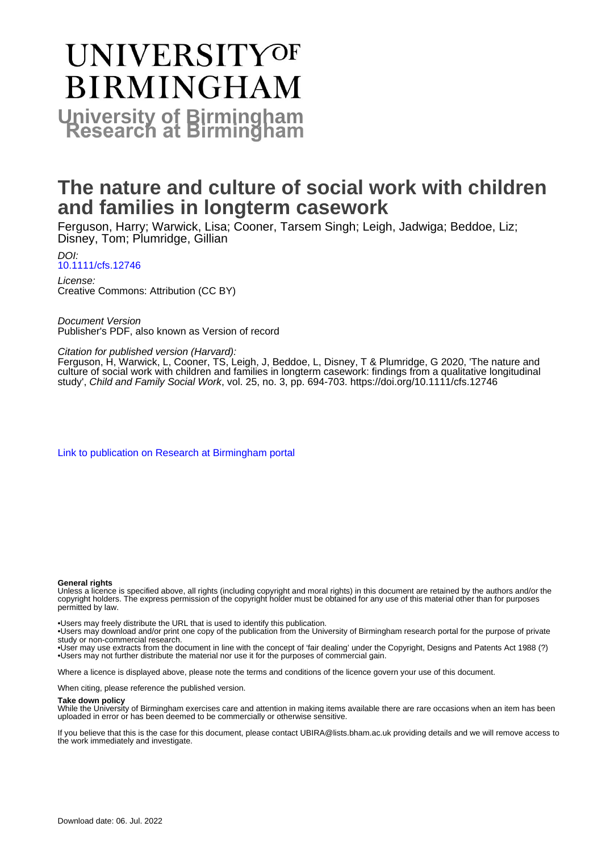# **UNIVERSITYOF BIRMINGHAM University of Birmingham**

# **The nature and culture of social work with children and families in longterm casework**

Ferguson, Harry; Warwick, Lisa; Cooner, Tarsem Singh; Leigh, Jadwiga; Beddoe, Liz; Disney, Tom; Plumridge, Gillian

DOI: [10.1111/cfs.12746](https://doi.org/10.1111/cfs.12746)

License: Creative Commons: Attribution (CC BY)

Document Version Publisher's PDF, also known as Version of record

## Citation for published version (Harvard):

Ferguson, H, Warwick, L, Cooner, TS, Leigh, J, Beddoe, L, Disney, T & Plumridge, G 2020, 'The nature and culture of social work with children and families in longterm casework: findings from a qualitative longitudinal study', Child and Family Social Work, vol. 25, no. 3, pp. 694-703.<https://doi.org/10.1111/cfs.12746>

[Link to publication on Research at Birmingham portal](https://birmingham.elsevierpure.com/en/publications/cc81f0d1-c7db-4fdd-b652-9626951891a5)

#### **General rights**

Unless a licence is specified above, all rights (including copyright and moral rights) in this document are retained by the authors and/or the copyright holders. The express permission of the copyright holder must be obtained for any use of this material other than for purposes permitted by law.

• Users may freely distribute the URL that is used to identify this publication.

• Users may download and/or print one copy of the publication from the University of Birmingham research portal for the purpose of private study or non-commercial research.

• User may use extracts from the document in line with the concept of 'fair dealing' under the Copyright, Designs and Patents Act 1988 (?) • Users may not further distribute the material nor use it for the purposes of commercial gain.

Where a licence is displayed above, please note the terms and conditions of the licence govern your use of this document.

When citing, please reference the published version.

#### **Take down policy**

While the University of Birmingham exercises care and attention in making items available there are rare occasions when an item has been uploaded in error or has been deemed to be commercially or otherwise sensitive.

If you believe that this is the case for this document, please contact UBIRA@lists.bham.ac.uk providing details and we will remove access to the work immediately and investigate.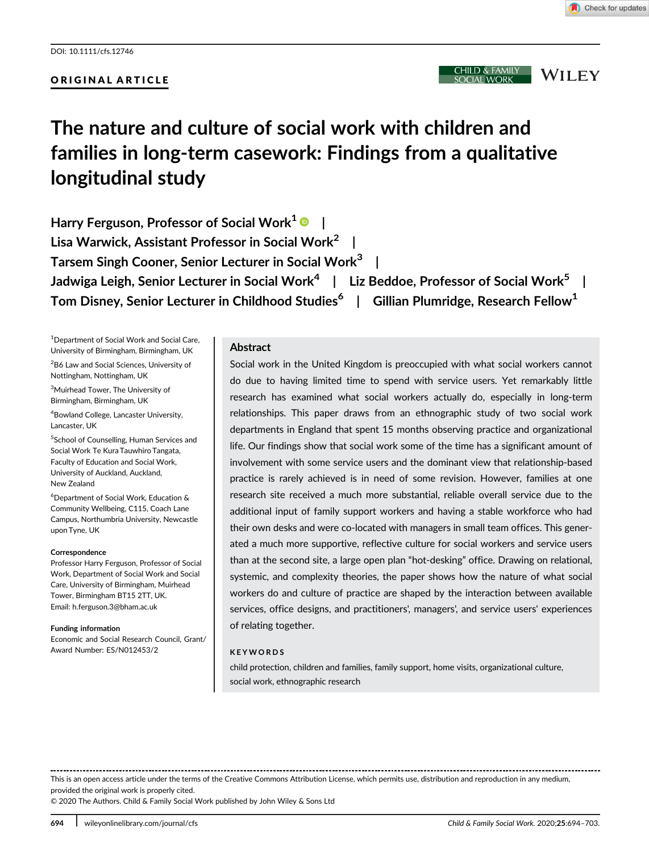# ORIGINAL ARTICLE

:HILD & FAMILY **WILEY** 

# The nature and culture of social work with children and families in long-term casework: Findings from a qualitative longitudinal study

Harry Ferguson, Professor of Social Work<sup>1</sup>  $\bullet$  | Lisa Warwick, Assistant Professor in Social Work<sup>2</sup> | Tarsem Singh Cooner, Senior Lecturer in Social Work<sup>3</sup> | Jadwiga Leigh, Senior Lecturer in Social Work<sup>4</sup> | Liz Beddoe, Professor of Social Work<sup>5</sup> | Tom Disney, Senior Lecturer in Childhood Studies<sup>6</sup> | Gillian Plumridge, Research Fellow<sup>1</sup>

<sup>1</sup> Department of Social Work and Social Care, University of Birmingham, Birmingham, UK

<sup>2</sup>B6 Law and Social Sciences, University of Nottingham, Nottingham, UK

<sup>3</sup>Muirhead Tower, The University of Birmingham, Birmingham, UK

4 Bowland College, Lancaster University, Lancaster, UK

5 School of Counselling, Human Services and Social Work Te Kura Tauwhiro Tangata, Faculty of Education and Social Work, University of Auckland, Auckland, New Zealand

6 Department of Social Work, Education & Community Wellbeing, C115, Coach Lane Campus, Northumbria University, Newcastle upon Tyne, UK

#### **Correspondence**

Professor Harry Ferguson, Professor of Social Work, Department of Social Work and Social Care, University of Birmingham, Muirhead Tower, Birmingham BT15 2TT, UK. Email: [h.ferguson.3@bham.ac.uk](mailto:h.ferguson.3@bham.ac.uk)

Funding information Economic and Social Research Council, Grant/ Award Number: ES/N012453/2

#### Abstract

Social work in the United Kingdom is preoccupied with what social workers cannot do due to having limited time to spend with service users. Yet remarkably little research has examined what social workers actually do, especially in long-term relationships. This paper draws from an ethnographic study of two social work departments in England that spent 15 months observing practice and organizational life. Our findings show that social work some of the time has a significant amount of involvement with some service users and the dominant view that relationship-based practice is rarely achieved is in need of some revision. However, families at one research site received a much more substantial, reliable overall service due to the additional input of family support workers and having a stable workforce who had their own desks and were co-located with managers in small team offices. This generated a much more supportive, reflective culture for social workers and service users than at the second site, a large open plan "hot-desking" office. Drawing on relational, systemic, and complexity theories, the paper shows how the nature of what social workers do and culture of practice are shaped by the interaction between available services, office designs, and practitioners', managers', and service users' experiences of relating together.

#### KEYWORDS

child protection, children and families, family support, home visits, organizational culture, social work, ethnographic research

This is an open access article under the terms of the [Creative Commons Attribution](http://creativecommons.org/licenses/by/4.0/) License, which permits use, distribution and reproduction in any medium, provided the original work is properly cited.

© 2020 The Authors. Child & Family Social Work published by John Wiley & Sons Ltd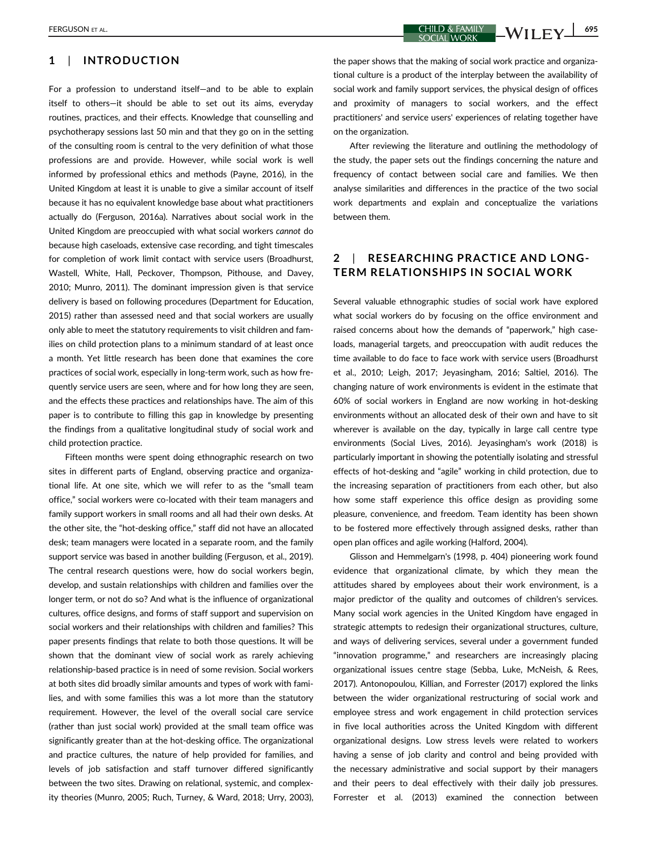### 1 | INTRODUCTION

For a profession to understand itself—and to be able to explain itself to others—it should be able to set out its aims, everyday routines, practices, and their effects. Knowledge that counselling and psychotherapy sessions last 50 min and that they go on in the setting of the consulting room is central to the very definition of what those professions are and provide. However, while social work is well informed by professional ethics and methods (Payne, 2016), in the United Kingdom at least it is unable to give a similar account of itself because it has no equivalent knowledge base about what practitioners actually do (Ferguson, 2016a). Narratives about social work in the United Kingdom are preoccupied with what social workers cannot do because high caseloads, extensive case recording, and tight timescales for completion of work limit contact with service users (Broadhurst, Wastell, White, Hall, Peckover, Thompson, Pithouse, and Davey, 2010; Munro, 2011). The dominant impression given is that service delivery is based on following procedures (Department for Education, 2015) rather than assessed need and that social workers are usually only able to meet the statutory requirements to visit children and families on child protection plans to a minimum standard of at least once a month. Yet little research has been done that examines the core practices of social work, especially in long-term work, such as how frequently service users are seen, where and for how long they are seen, and the effects these practices and relationships have. The aim of this paper is to contribute to filling this gap in knowledge by presenting the findings from a qualitative longitudinal study of social work and child protection practice.

Fifteen months were spent doing ethnographic research on two sites in different parts of England, observing practice and organizational life. At one site, which we will refer to as the "small team office," social workers were co-located with their team managers and family support workers in small rooms and all had their own desks. At the other site, the "hot-desking office," staff did not have an allocated desk; team managers were located in a separate room, and the family support service was based in another building (Ferguson, et al., 2019). The central research questions were, how do social workers begin, develop, and sustain relationships with children and families over the longer term, or not do so? And what is the influence of organizational cultures, office designs, and forms of staff support and supervision on social workers and their relationships with children and families? This paper presents findings that relate to both those questions. It will be shown that the dominant view of social work as rarely achieving relationship-based practice is in need of some revision. Social workers at both sites did broadly similar amounts and types of work with families, and with some families this was a lot more than the statutory requirement. However, the level of the overall social care service (rather than just social work) provided at the small team office was significantly greater than at the hot-desking office. The organizational and practice cultures, the nature of help provided for families, and levels of job satisfaction and staff turnover differed significantly between the two sites. Drawing on relational, systemic, and complexity theories (Munro, 2005; Ruch, Turney, & Ward, 2018; Urry, 2003),

the paper shows that the making of social work practice and organizational culture is a product of the interplay between the availability of social work and family support services, the physical design of offices and proximity of managers to social workers, and the effect practitioners' and service users' experiences of relating together have on the organization.

After reviewing the literature and outlining the methodology of the study, the paper sets out the findings concerning the nature and frequency of contact between social care and families. We then analyse similarities and differences in the practice of the two social work departments and explain and conceptualize the variations between them.

# 2 | RESEARCHING PRACTICE AND LONG-TERM RELATIONSHIPS IN SOCIAL WORK

Several valuable ethnographic studies of social work have explored what social workers do by focusing on the office environment and raised concerns about how the demands of "paperwork," high caseloads, managerial targets, and preoccupation with audit reduces the time available to do face to face work with service users (Broadhurst et al., 2010; Leigh, 2017; Jeyasingham, 2016; Saltiel, 2016). The changing nature of work environments is evident in the estimate that 60% of social workers in England are now working in hot-desking environments without an allocated desk of their own and have to sit wherever is available on the day, typically in large call centre type environments (Social Lives, 2016). Jeyasingham's work (2018) is particularly important in showing the potentially isolating and stressful effects of hot-desking and "agile" working in child protection, due to the increasing separation of practitioners from each other, but also how some staff experience this office design as providing some pleasure, convenience, and freedom. Team identity has been shown to be fostered more effectively through assigned desks, rather than open plan offices and agile working (Halford, 2004).

Glisson and Hemmelgarn's (1998, p. 404) pioneering work found evidence that organizational climate, by which they mean the attitudes shared by employees about their work environment, is a major predictor of the quality and outcomes of children's services. Many social work agencies in the United Kingdom have engaged in strategic attempts to redesign their organizational structures, culture, and ways of delivering services, several under a government funded "innovation programme," and researchers are increasingly placing organizational issues centre stage (Sebba, Luke, McNeish, & Rees, 2017). Antonopoulou, Killian, and Forrester (2017) explored the links between the wider organizational restructuring of social work and employee stress and work engagement in child protection services in five local authorities across the United Kingdom with different organizational designs. Low stress levels were related to workers having a sense of job clarity and control and being provided with the necessary administrative and social support by their managers and their peers to deal effectively with their daily job pressures. Forrester et al. (2013) examined the connection between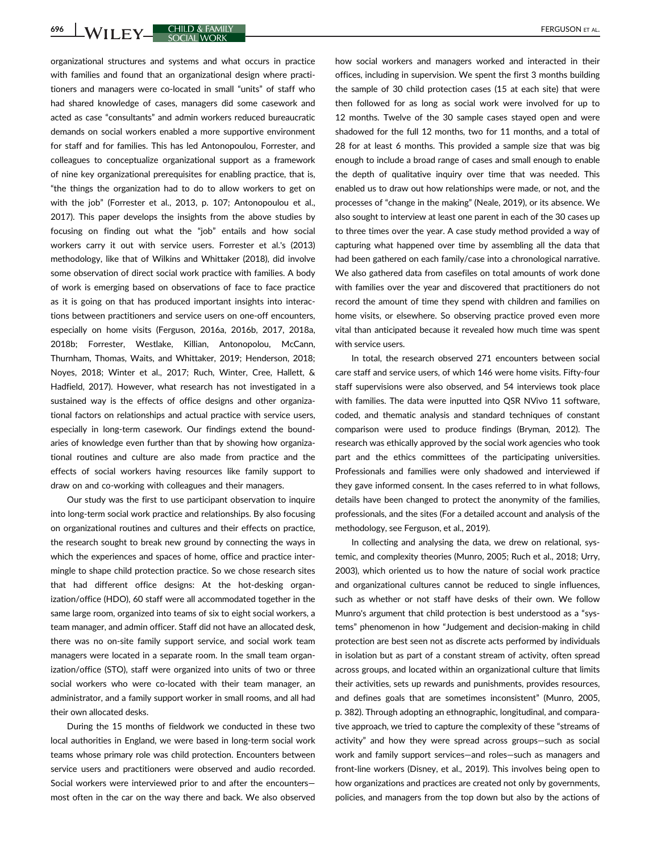organizational structures and systems and what occurs in practice with families and found that an organizational design where practitioners and managers were co-located in small "units" of staff who had shared knowledge of cases, managers did some casework and acted as case "consultants" and admin workers reduced bureaucratic demands on social workers enabled a more supportive environment for staff and for families. This has led Antonopoulou, Forrester, and colleagues to conceptualize organizational support as a framework of nine key organizational prerequisites for enabling practice, that is, "the things the organization had to do to allow workers to get on with the job" (Forrester et al., 2013, p. 107; Antonopoulou et al., 2017). This paper develops the insights from the above studies by focusing on finding out what the "job" entails and how social workers carry it out with service users. Forrester et al.'s (2013) methodology, like that of Wilkins and Whittaker (2018), did involve some observation of direct social work practice with families. A body of work is emerging based on observations of face to face practice as it is going on that has produced important insights into interactions between practitioners and service users on one-off encounters, especially on home visits (Ferguson, 2016a, 2016b, 2017, 2018a, 2018b; Forrester, Westlake, Killian, Antonopolou, McCann, Thurnham, Thomas, Waits, and Whittaker, 2019; Henderson, 2018; Noyes, 2018; Winter et al., 2017; Ruch, Winter, Cree, Hallett, & Hadfield, 2017). However, what research has not investigated in a sustained way is the effects of office designs and other organizational factors on relationships and actual practice with service users, especially in long-term casework. Our findings extend the boundaries of knowledge even further than that by showing how organizational routines and culture are also made from practice and the effects of social workers having resources like family support to draw on and co-working with colleagues and their managers.

Our study was the first to use participant observation to inquire into long-term social work practice and relationships. By also focusing on organizational routines and cultures and their effects on practice, the research sought to break new ground by connecting the ways in which the experiences and spaces of home, office and practice intermingle to shape child protection practice. So we chose research sites that had different office designs: At the hot-desking organization/office (HDO), 60 staff were all accommodated together in the same large room, organized into teams of six to eight social workers, a team manager, and admin officer. Staff did not have an allocated desk, there was no on-site family support service, and social work team managers were located in a separate room. In the small team organization/office (STO), staff were organized into units of two or three social workers who were co-located with their team manager, an administrator, and a family support worker in small rooms, and all had their own allocated desks.

During the 15 months of fieldwork we conducted in these two local authorities in England, we were based in long-term social work teams whose primary role was child protection. Encounters between service users and practitioners were observed and audio recorded. Social workers were interviewed prior to and after the encounters most often in the car on the way there and back. We also observed how social workers and managers worked and interacted in their offices, including in supervision. We spent the first 3 months building the sample of 30 child protection cases (15 at each site) that were then followed for as long as social work were involved for up to 12 months. Twelve of the 30 sample cases stayed open and were shadowed for the full 12 months, two for 11 months, and a total of 28 for at least 6 months. This provided a sample size that was big enough to include a broad range of cases and small enough to enable the depth of qualitative inquiry over time that was needed. This enabled us to draw out how relationships were made, or not, and the processes of "change in the making" (Neale, 2019), or its absence. We also sought to interview at least one parent in each of the 30 cases up to three times over the year. A case study method provided a way of capturing what happened over time by assembling all the data that had been gathered on each family/case into a chronological narrative. We also gathered data from casefiles on total amounts of work done with families over the year and discovered that practitioners do not record the amount of time they spend with children and families on home visits, or elsewhere. So observing practice proved even more vital than anticipated because it revealed how much time was spent with service users.

In total, the research observed 271 encounters between social care staff and service users, of which 146 were home visits. Fifty-four staff supervisions were also observed, and 54 interviews took place with families. The data were inputted into QSR NVivo 11 software, coded, and thematic analysis and standard techniques of constant comparison were used to produce findings (Bryman, 2012). The research was ethically approved by the social work agencies who took part and the ethics committees of the participating universities. Professionals and families were only shadowed and interviewed if they gave informed consent. In the cases referred to in what follows, details have been changed to protect the anonymity of the families, professionals, and the sites (For a detailed account and analysis of the methodology, see Ferguson, et al., 2019).

In collecting and analysing the data, we drew on relational, systemic, and complexity theories (Munro, 2005; Ruch et al., 2018; Urry, 2003), which oriented us to how the nature of social work practice and organizational cultures cannot be reduced to single influences, such as whether or not staff have desks of their own. We follow Munro's argument that child protection is best understood as a "systems" phenomenon in how "Judgement and decision-making in child protection are best seen not as discrete acts performed by individuals in isolation but as part of a constant stream of activity, often spread across groups, and located within an organizational culture that limits their activities, sets up rewards and punishments, provides resources, and defines goals that are sometimes inconsistent" (Munro, 2005, p. 382). Through adopting an ethnographic, longitudinal, and comparative approach, we tried to capture the complexity of these "streams of activity" and how they were spread across groups—such as social work and family support services—and roles—such as managers and front-line workers (Disney, et al., 2019). This involves being open to how organizations and practices are created not only by governments, policies, and managers from the top down but also by the actions of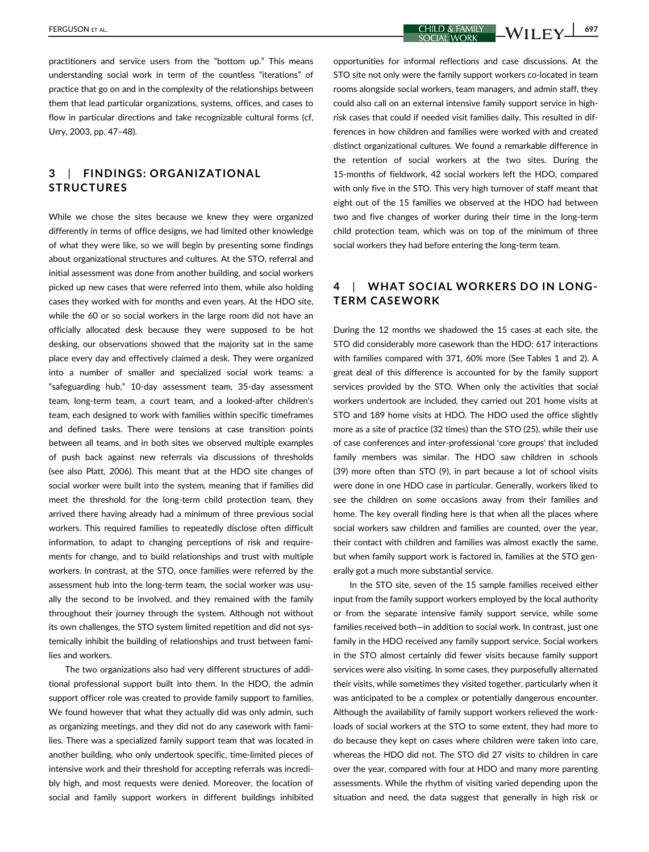practitioners and service users from the "bottom up." This means understanding social work in term of the countless "iterations" of practice that go on and in the complexity of the relationships between them that lead particular organizations, systems, offices, and cases to flow in particular directions and take recognizable cultural forms (cf, Urry, 2003, pp. 47–48).

# 3 | FINDINGS: ORGANIZATIONAL STRUCTURES

While we chose the sites because we knew they were organized differently in terms of office designs, we had limited other knowledge of what they were like, so we will begin by presenting some findings about organizational structures and cultures. At the STO, referral and initial assessment was done from another building, and social workers picked up new cases that were referred into them, while also holding cases they worked with for months and even years. At the HDO site, while the 60 or so social workers in the large room did not have an officially allocated desk because they were supposed to be hot desking, our observations showed that the majority sat in the same place every day and effectively claimed a desk. They were organized into a number of smaller and specialized social work teams: a "safeguarding hub," 10-day assessment team, 35-day assessment team, long-term team, a court team, and a looked-after children's team, each designed to work with families within specific timeframes and defined tasks. There were tensions at case transition points between all teams, and in both sites we observed multiple examples of push back against new referrals via discussions of thresholds (see also Platt, 2006). This meant that at the HDO site changes of social worker were built into the system, meaning that if families did meet the threshold for the long-term child protection team, they arrived there having already had a minimum of three previous social workers. This required families to repeatedly disclose often difficult information, to adapt to changing perceptions of risk and requirements for change, and to build relationships and trust with multiple workers. In contrast, at the STO, once families were referred by the assessment hub into the long-term team, the social worker was usually the second to be involved, and they remained with the family throughout their journey through the system. Although not without its own challenges, the STO system limited repetition and did not systemically inhibit the building of relationships and trust between families and workers.

The two organizations also had very different structures of additional professional support built into them. In the HDO, the admin support officer role was created to provide family support to families. We found however that what they actually did was only admin, such as organizing meetings, and they did not do any casework with families. There was a specialized family support team that was located in another building, who only undertook specific, time-limited pieces of intensive work and their threshold for accepting referrals was incredibly high, and most requests were denied. Moreover, the location of social and family support workers in different buildings inhibited opportunities for informal reflections and case discussions. At the STO site not only were the family support workers co-located in team rooms alongside social workers, team managers, and admin staff, they could also call on an external intensive family support service in highrisk cases that could if needed visit families daily. This resulted in differences in how children and families were worked with and created distinct organizational cultures. We found a remarkable difference in the retention of social workers at the two sites. During the 15-months of fieldwork, 42 social workers left the HDO, compared with only five in the STO. This very high turnover of staff meant that eight out of the 15 families we observed at the HDO had between two and five changes of worker during their time in the long-term child protection team, which was on top of the minimum of three social workers they had before entering the long-term team.

# 4 | WHAT SOCIAL WORKERS DO IN LONG-TERM CASEWORK

During the 12 months we shadowed the 15 cases at each site, the STO did considerably more casework than the HDO: 617 interactions with families compared with 371, 60% more (See Tables 1 and 2). A great deal of this difference is accounted for by the family support services provided by the STO. When only the activities that social workers undertook are included, they carried out 201 home visits at STO and 189 home visits at HDO. The HDO used the office slightly more as a site of practice (32 times) than the STO (25), while their use of case conferences and inter-professional 'core groups' that included family members was similar. The HDO saw children in schools (39) more often than STO (9), in part because a lot of school visits were done in one HDO case in particular. Generally, workers liked to see the children on some occasions away from their families and home. The key overall finding here is that when all the places where social workers saw children and families are counted, over the year, their contact with children and families was almost exactly the same, but when family support work is factored in, families at the STO generally got a much more substantial service.

In the STO site, seven of the 15 sample families received either input from the family support workers employed by the local authority or from the separate intensive family support service, while some families received both—in addition to social work. In contrast, just one family in the HDO received any family support service. Social workers in the STO almost certainly did fewer visits because family support services were also visiting. In some cases, they purposefully alternated their visits, while sometimes they visited together, particularly when it was anticipated to be a complex or potentially dangerous encounter. Although the availability of family support workers relieved the workloads of social workers at the STO to some extent, they had more to do because they kept on cases where children were taken into care, whereas the HDO did not. The STO did 27 visits to children in care over the year, compared with four at HDO and many more parenting assessments. While the rhythm of visiting varied depending upon the situation and need, the data suggest that generally in high risk or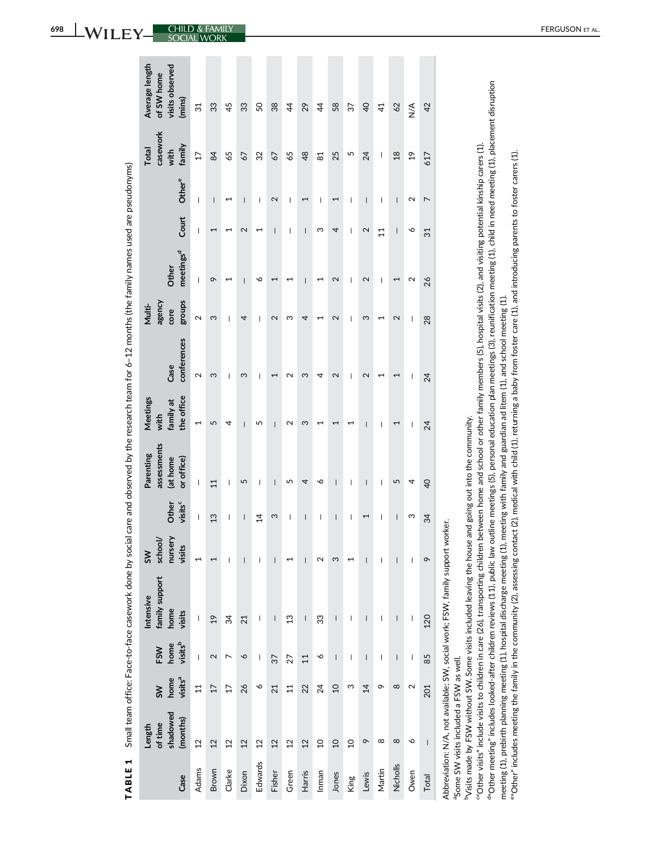| $\overline{\mathbf{r}}$                                                                                        |
|----------------------------------------------------------------------------------------------------------------|
|                                                                                                                |
| j                                                                                                              |
| ļ<br>Ï                                                                                                         |
|                                                                                                                |
|                                                                                                                |
|                                                                                                                |
| l                                                                                                              |
| i                                                                                                              |
|                                                                                                                |
| Í<br>Ì                                                                                                         |
|                                                                                                                |
|                                                                                                                |
| j                                                                                                              |
| i<br>ׇ֘֒                                                                                                       |
| ţ                                                                                                              |
|                                                                                                                |
| j                                                                                                              |
| i                                                                                                              |
|                                                                                                                |
| l                                                                                                              |
|                                                                                                                |
|                                                                                                                |
|                                                                                                                |
| j                                                                                                              |
| I<br>í                                                                                                         |
|                                                                                                                |
| ļ                                                                                                              |
| Ţ                                                                                                              |
| j                                                                                                              |
|                                                                                                                |
|                                                                                                                |
|                                                                                                                |
| j<br>ı<br>֖֖֖֖֚֚֚֚֚֚֬                                                                                          |
|                                                                                                                |
|                                                                                                                |
| 5)                                                                                                             |
| l                                                                                                              |
| j                                                                                                              |
|                                                                                                                |
| í                                                                                                              |
|                                                                                                                |
| į                                                                                                              |
|                                                                                                                |
| í<br>j                                                                                                         |
| ,<br>į                                                                                                         |
| and the state of the state of the state of the state of the state of the state of the state of the state of th |
| İ                                                                                                              |
|                                                                                                                |
|                                                                                                                |
|                                                                                                                |
| l<br>1                                                                                                         |
| i                                                                                                              |
|                                                                                                                |
| i                                                                                                              |
| i                                                                                                              |
| I                                                                                                              |
| Ï<br>l                                                                                                         |
| l                                                                                                              |
| ţ<br>֚֬֕<br>í                                                                                                  |
|                                                                                                                |
|                                                                                                                |
|                                                                                                                |
|                                                                                                                |
| i<br>1                                                                                                         |
| i<br>i                                                                                                         |
|                                                                                                                |
|                                                                                                                |
|                                                                                                                |
|                                                                                                                |
| tace<br>J                                                                                                      |
| I                                                                                                              |
|                                                                                                                |
|                                                                                                                |
| l                                                                                                              |
| l                                                                                                              |
| I                                                                                                              |
|                                                                                                                |
| ١                                                                                                              |
| i                                                                                                              |
| Ì                                                                                                              |
|                                                                                                                |
|                                                                                                                |
| į                                                                                                              |
|                                                                                                                |
|                                                                                                                |
| ı                                                                                                              |
| L<br>I                                                                                                         |
| J                                                                                                              |
| ľ<br>I<br>ė                                                                                                    |
| ₫<br>í<br>I                                                                                                    |

| Case         | shadowed<br>(months)<br>of time<br>Length           | visits <sup>a</sup><br>home<br>$\mathsf{S}$ | visits <sup>b</sup><br>home<br>FSW    | family support<br>Intensive<br>home<br>visits                                                                                                                                                                                                                                                                                                                                    | nursery<br>school/<br>visits<br>5M                                                                                                                                                                                                                                                                                                                                               | visits <sup>c</sup><br>Other                                                                                                                                                                                                                                                                                                                                                                                   | assessments<br>Parenting<br>(at home<br>or office) | the office<br>Meetings<br>family at<br>with | conferences<br>Case                                                                                                                                                                                                                                                                                                                                                              | groups<br>agency<br>Multi-<br>core                                                                                                                                                                                                                                                                                                                                               | meetings <sup>d</sup><br>Other                                                                                                                                                                                                                                                                                                                                                   | Court                                                                                                                                                                                                                                                                                                                                                                            | Other <sup>e</sup>                                                                                                                                                                                                                                                                                                                                                               | casework<br>family<br>Total<br>with | Average length<br>visits observed<br>of SW home<br>(mins) |
|--------------|-----------------------------------------------------|---------------------------------------------|---------------------------------------|----------------------------------------------------------------------------------------------------------------------------------------------------------------------------------------------------------------------------------------------------------------------------------------------------------------------------------------------------------------------------------|----------------------------------------------------------------------------------------------------------------------------------------------------------------------------------------------------------------------------------------------------------------------------------------------------------------------------------------------------------------------------------|----------------------------------------------------------------------------------------------------------------------------------------------------------------------------------------------------------------------------------------------------------------------------------------------------------------------------------------------------------------------------------------------------------------|----------------------------------------------------|---------------------------------------------|----------------------------------------------------------------------------------------------------------------------------------------------------------------------------------------------------------------------------------------------------------------------------------------------------------------------------------------------------------------------------------|----------------------------------------------------------------------------------------------------------------------------------------------------------------------------------------------------------------------------------------------------------------------------------------------------------------------------------------------------------------------------------|----------------------------------------------------------------------------------------------------------------------------------------------------------------------------------------------------------------------------------------------------------------------------------------------------------------------------------------------------------------------------------|----------------------------------------------------------------------------------------------------------------------------------------------------------------------------------------------------------------------------------------------------------------------------------------------------------------------------------------------------------------------------------|----------------------------------------------------------------------------------------------------------------------------------------------------------------------------------------------------------------------------------------------------------------------------------------------------------------------------------------------------------------------------------|-------------------------------------|-----------------------------------------------------------|
| <b>Adams</b> | $\overline{2}$                                      | $\overline{11}$                             | $\begin{array}{c} \hline \end{array}$ | $\begin{array}{c} \rule{0pt}{2.5ex} \rule{0pt}{2.5ex} \rule{0pt}{2.5ex} \rule{0pt}{2.5ex} \rule{0pt}{2.5ex} \rule{0pt}{2.5ex} \rule{0pt}{2.5ex} \rule{0pt}{2.5ex} \rule{0pt}{2.5ex} \rule{0pt}{2.5ex} \rule{0pt}{2.5ex} \rule{0pt}{2.5ex} \rule{0pt}{2.5ex} \rule{0pt}{2.5ex} \rule{0pt}{2.5ex} \rule{0pt}{2.5ex} \rule{0pt}{2.5ex} \rule{0pt}{2.5ex} \rule{0pt}{2.5ex} \rule{0$ | 1                                                                                                                                                                                                                                                                                                                                                                                | $\mid$                                                                                                                                                                                                                                                                                                                                                                                                         | I                                                  | 1                                           | 2                                                                                                                                                                                                                                                                                                                                                                                | $\sim$                                                                                                                                                                                                                                                                                                                                                                           | $\begin{array}{c} \rule{0pt}{2.5ex} \rule{0pt}{2.5ex} \rule{0pt}{2.5ex} \rule{0pt}{2.5ex} \rule{0pt}{2.5ex} \rule{0pt}{2.5ex} \rule{0pt}{2.5ex} \rule{0pt}{2.5ex} \rule{0pt}{2.5ex} \rule{0pt}{2.5ex} \rule{0pt}{2.5ex} \rule{0pt}{2.5ex} \rule{0pt}{2.5ex} \rule{0pt}{2.5ex} \rule{0pt}{2.5ex} \rule{0pt}{2.5ex} \rule{0pt}{2.5ex} \rule{0pt}{2.5ex} \rule{0pt}{2.5ex} \rule{0$ | $\begin{array}{c} \rule{0pt}{2.5ex} \rule{0pt}{2.5ex} \rule{0pt}{2.5ex} \rule{0pt}{2.5ex} \rule{0pt}{2.5ex} \rule{0pt}{2.5ex} \rule{0pt}{2.5ex} \rule{0pt}{2.5ex} \rule{0pt}{2.5ex} \rule{0pt}{2.5ex} \rule{0pt}{2.5ex} \rule{0pt}{2.5ex} \rule{0pt}{2.5ex} \rule{0pt}{2.5ex} \rule{0pt}{2.5ex} \rule{0pt}{2.5ex} \rule{0pt}{2.5ex} \rule{0pt}{2.5ex} \rule{0pt}{2.5ex} \rule{0$ | $\sf I$                                                                                                                                                                                                                                                                                                                                                                          | $\overline{17}$                     | 31                                                        |
| Brown        | 12                                                  | 17                                          | 2                                     | $\overline{1}$                                                                                                                                                                                                                                                                                                                                                                   |                                                                                                                                                                                                                                                                                                                                                                                  | 13                                                                                                                                                                                                                                                                                                                                                                                                             | 11                                                 | 5                                           | ω                                                                                                                                                                                                                                                                                                                                                                                | ς                                                                                                                                                                                                                                                                                                                                                                                | $\sigma$                                                                                                                                                                                                                                                                                                                                                                         |                                                                                                                                                                                                                                                                                                                                                                                  | $\sf I$                                                                                                                                                                                                                                                                                                                                                                          | 84                                  | 33                                                        |
| Clarke       | 12                                                  | 17                                          | L                                     | 34                                                                                                                                                                                                                                                                                                                                                                               | I                                                                                                                                                                                                                                                                                                                                                                                | I                                                                                                                                                                                                                                                                                                                                                                                                              | I                                                  | 4                                           | $\begin{array}{c} \rule{0pt}{2.5ex} \rule{0pt}{2.5ex} \rule{0pt}{2.5ex} \rule{0pt}{2.5ex} \rule{0pt}{2.5ex} \rule{0pt}{2.5ex} \rule{0pt}{2.5ex} \rule{0pt}{2.5ex} \rule{0pt}{2.5ex} \rule{0pt}{2.5ex} \rule{0pt}{2.5ex} \rule{0pt}{2.5ex} \rule{0pt}{2.5ex} \rule{0pt}{2.5ex} \rule{0pt}{2.5ex} \rule{0pt}{2.5ex} \rule{0pt}{2.5ex} \rule{0pt}{2.5ex} \rule{0pt}{2.5ex} \rule{0$ | $\begin{array}{c} \rule{0pt}{2.5ex} \rule{0pt}{2.5ex} \rule{0pt}{2.5ex} \rule{0pt}{2.5ex} \rule{0pt}{2.5ex} \rule{0pt}{2.5ex} \rule{0pt}{2.5ex} \rule{0pt}{2.5ex} \rule{0pt}{2.5ex} \rule{0pt}{2.5ex} \rule{0pt}{2.5ex} \rule{0pt}{2.5ex} \rule{0pt}{2.5ex} \rule{0pt}{2.5ex} \rule{0pt}{2.5ex} \rule{0pt}{2.5ex} \rule{0pt}{2.5ex} \rule{0pt}{2.5ex} \rule{0pt}{2.5ex} \rule{0$ | 1                                                                                                                                                                                                                                                                                                                                                                                | ⊣                                                                                                                                                                                                                                                                                                                                                                                | 1                                                                                                                                                                                                                                                                                                                                                                                | 65                                  | 45                                                        |
| Dixon        | 12                                                  | 26                                          | P                                     | 21                                                                                                                                                                                                                                                                                                                                                                               | I                                                                                                                                                                                                                                                                                                                                                                                | $\begin{array}{c} \rule{0pt}{2ex} \rule{0pt}{2ex} \rule{0pt}{2ex} \rule{0pt}{2ex} \rule{0pt}{2ex} \rule{0pt}{2ex} \rule{0pt}{2ex} \rule{0pt}{2ex} \rule{0pt}{2ex} \rule{0pt}{2ex} \rule{0pt}{2ex} \rule{0pt}{2ex} \rule{0pt}{2ex} \rule{0pt}{2ex} \rule{0pt}{2ex} \rule{0pt}{2ex} \rule{0pt}{2ex} \rule{0pt}{2ex} \rule{0pt}{2ex} \rule{0pt}{2ex} \rule{0pt}{2ex} \rule{0pt}{2ex} \rule{0pt}{2ex} \rule{0pt}{$ | 5                                                  | $\mathsf{I}$                                | ς                                                                                                                                                                                                                                                                                                                                                                                | 4                                                                                                                                                                                                                                                                                                                                                                                | $\overline{\phantom{a}}$                                                                                                                                                                                                                                                                                                                                                         | 2                                                                                                                                                                                                                                                                                                                                                                                | $\overline{\phantom{a}}$                                                                                                                                                                                                                                                                                                                                                         | 67                                  | 33                                                        |
| Edwards      | 12                                                  | ◡                                           | I                                     | I                                                                                                                                                                                                                                                                                                                                                                                | I                                                                                                                                                                                                                                                                                                                                                                                | 14                                                                                                                                                                                                                                                                                                                                                                                                             | I                                                  | 5                                           | I                                                                                                                                                                                                                                                                                                                                                                                | I                                                                                                                                                                                                                                                                                                                                                                                | ∾                                                                                                                                                                                                                                                                                                                                                                                | $\overline{\phantom{0}}$                                                                                                                                                                                                                                                                                                                                                         | I                                                                                                                                                                                                                                                                                                                                                                                | 32                                  | SO,                                                       |
| Fisher       | 12                                                  | 21                                          | 37                                    | I                                                                                                                                                                                                                                                                                                                                                                                | $\overline{\phantom{a}}$                                                                                                                                                                                                                                                                                                                                                         | S                                                                                                                                                                                                                                                                                                                                                                                                              | $\vert$                                            | $\overline{1}$                              | 1                                                                                                                                                                                                                                                                                                                                                                                | 2                                                                                                                                                                                                                                                                                                                                                                                | F                                                                                                                                                                                                                                                                                                                                                                                | $\overline{\phantom{a}}$                                                                                                                                                                                                                                                                                                                                                         | 2                                                                                                                                                                                                                                                                                                                                                                                | 67                                  | 38                                                        |
| Green        | $\overline{2}$                                      | 11                                          | 27                                    | $\frac{3}{2}$                                                                                                                                                                                                                                                                                                                                                                    |                                                                                                                                                                                                                                                                                                                                                                                  | $\mid$                                                                                                                                                                                                                                                                                                                                                                                                         | 5                                                  | $\mathbf 2$                                 | 2                                                                                                                                                                                                                                                                                                                                                                                | ო                                                                                                                                                                                                                                                                                                                                                                                | $\overline{\phantom{0}}$                                                                                                                                                                                                                                                                                                                                                         | $\overline{\phantom{a}}$                                                                                                                                                                                                                                                                                                                                                         | $\begin{array}{c} \rule{0pt}{2.5ex} \rule{0pt}{2.5ex} \rule{0pt}{2.5ex} \rule{0pt}{2.5ex} \rule{0pt}{2.5ex} \rule{0pt}{2.5ex} \rule{0pt}{2.5ex} \rule{0pt}{2.5ex} \rule{0pt}{2.5ex} \rule{0pt}{2.5ex} \rule{0pt}{2.5ex} \rule{0pt}{2.5ex} \rule{0pt}{2.5ex} \rule{0pt}{2.5ex} \rule{0pt}{2.5ex} \rule{0pt}{2.5ex} \rule{0pt}{2.5ex} \rule{0pt}{2.5ex} \rule{0pt}{2.5ex} \rule{0$ | 65                                  | $\ddot{4}$                                                |
| Harris       | $\overline{2}$                                      | 22                                          | $\overline{11}$                       | $\sf I$                                                                                                                                                                                                                                                                                                                                                                          | $\overline{\phantom{a}}$                                                                                                                                                                                                                                                                                                                                                         | $\mathsf I$                                                                                                                                                                                                                                                                                                                                                                                                    | 4                                                  | S                                           | ო                                                                                                                                                                                                                                                                                                                                                                                | 4                                                                                                                                                                                                                                                                                                                                                                                | $\sf I$                                                                                                                                                                                                                                                                                                                                                                          | $\sf I$                                                                                                                                                                                                                                                                                                                                                                          | 1                                                                                                                                                                                                                                                                                                                                                                                | $\frac{8}{3}$                       | 29                                                        |
| Inman        | $\overline{a}$                                      | 24                                          | ∘                                     | 33                                                                                                                                                                                                                                                                                                                                                                               | 2                                                                                                                                                                                                                                                                                                                                                                                | I                                                                                                                                                                                                                                                                                                                                                                                                              | ∾                                                  | 1                                           | 4                                                                                                                                                                                                                                                                                                                                                                                | 1                                                                                                                                                                                                                                                                                                                                                                                | ⊣                                                                                                                                                                                                                                                                                                                                                                                | ო                                                                                                                                                                                                                                                                                                                                                                                | $\begin{array}{c} \end{array}$                                                                                                                                                                                                                                                                                                                                                   | 81                                  | $\ddot{4}$                                                |
| Jones        | $\overline{a}$                                      | $\overline{0}$                              | $\overline{\phantom{a}}$              | $\overline{\phantom{a}}$                                                                                                                                                                                                                                                                                                                                                         | Ω                                                                                                                                                                                                                                                                                                                                                                                | $\begin{array}{c} \hline \end{array}$                                                                                                                                                                                                                                                                                                                                                                          | $\overline{\phantom{a}}$                           | ſ                                           | 2                                                                                                                                                                                                                                                                                                                                                                                | 2                                                                                                                                                                                                                                                                                                                                                                                | 2                                                                                                                                                                                                                                                                                                                                                                                | 4                                                                                                                                                                                                                                                                                                                                                                                | 1                                                                                                                                                                                                                                                                                                                                                                                | 25                                  | 58                                                        |
| King         | $\overline{a}$                                      | ო                                           | I                                     | I                                                                                                                                                                                                                                                                                                                                                                                |                                                                                                                                                                                                                                                                                                                                                                                  | I                                                                                                                                                                                                                                                                                                                                                                                                              | I                                                  | 1                                           | I                                                                                                                                                                                                                                                                                                                                                                                | I                                                                                                                                                                                                                                                                                                                                                                                | I                                                                                                                                                                                                                                                                                                                                                                                | $\begin{array}{c} \rule{0pt}{2.5ex} \rule{0pt}{2.5ex} \rule{0pt}{2.5ex} \rule{0pt}{2.5ex} \rule{0pt}{2.5ex} \rule{0pt}{2.5ex} \rule{0pt}{2.5ex} \rule{0pt}{2.5ex} \rule{0pt}{2.5ex} \rule{0pt}{2.5ex} \rule{0pt}{2.5ex} \rule{0pt}{2.5ex} \rule{0pt}{2.5ex} \rule{0pt}{2.5ex} \rule{0pt}{2.5ex} \rule{0pt}{2.5ex} \rule{0pt}{2.5ex} \rule{0pt}{2.5ex} \rule{0pt}{2.5ex} \rule{0$ | $\overline{\phantom{a}}$                                                                                                                                                                                                                                                                                                                                                         | S                                   | 57                                                        |
| Lewis        | $\sim$                                              | 14                                          | $\sf I$                               | $\sf I$                                                                                                                                                                                                                                                                                                                                                                          | $\overline{\phantom{a}}$                                                                                                                                                                                                                                                                                                                                                         | 1                                                                                                                                                                                                                                                                                                                                                                                                              | $\overline{\phantom{a}}$                           | $\sf I$                                     | 2                                                                                                                                                                                                                                                                                                                                                                                | ς                                                                                                                                                                                                                                                                                                                                                                                | 2                                                                                                                                                                                                                                                                                                                                                                                | 2                                                                                                                                                                                                                                                                                                                                                                                | $\sf I$                                                                                                                                                                                                                                                                                                                                                                          | 24                                  | $\overline{4}$                                            |
| Martin       | ∞                                                   | $\sigma$                                    | I                                     | I                                                                                                                                                                                                                                                                                                                                                                                | $\mathsf{I}$                                                                                                                                                                                                                                                                                                                                                                     | $\overline{\phantom{a}}$                                                                                                                                                                                                                                                                                                                                                                                       | $\overline{\phantom{a}}$                           | I                                           | 1                                                                                                                                                                                                                                                                                                                                                                                | 1                                                                                                                                                                                                                                                                                                                                                                                | $\overline{\phantom{a}}$                                                                                                                                                                                                                                                                                                                                                         | 11                                                                                                                                                                                                                                                                                                                                                                               | $\overline{\phantom{a}}$                                                                                                                                                                                                                                                                                                                                                         | $\overline{\phantom{a}}$            | $\overline{4}$                                            |
| Nicholls     | $\infty$                                            | $\infty$                                    | I                                     | $\overline{\phantom{a}}$                                                                                                                                                                                                                                                                                                                                                         | $\overline{\phantom{a}}$                                                                                                                                                                                                                                                                                                                                                         | $\overline{\phantom{a}}$                                                                                                                                                                                                                                                                                                                                                                                       | 5                                                  | 1                                           | 1                                                                                                                                                                                                                                                                                                                                                                                | 2                                                                                                                                                                                                                                                                                                                                                                                | 1                                                                                                                                                                                                                                                                                                                                                                                | $\overline{\phantom{a}}$                                                                                                                                                                                                                                                                                                                                                         | $\overline{\phantom{a}}$                                                                                                                                                                                                                                                                                                                                                         | $\frac{8}{18}$                      | 62                                                        |
| Owen         | ∘                                                   | 2                                           | $\mid$                                | I                                                                                                                                                                                                                                                                                                                                                                                | $\begin{array}{c} \rule{0pt}{2.5ex} \rule{0pt}{2.5ex} \rule{0pt}{2.5ex} \rule{0pt}{2.5ex} \rule{0pt}{2.5ex} \rule{0pt}{2.5ex} \rule{0pt}{2.5ex} \rule{0pt}{2.5ex} \rule{0pt}{2.5ex} \rule{0pt}{2.5ex} \rule{0pt}{2.5ex} \rule{0pt}{2.5ex} \rule{0pt}{2.5ex} \rule{0pt}{2.5ex} \rule{0pt}{2.5ex} \rule{0pt}{2.5ex} \rule{0pt}{2.5ex} \rule{0pt}{2.5ex} \rule{0pt}{2.5ex} \rule{0$ | ω                                                                                                                                                                                                                                                                                                                                                                                                              | 4                                                  | I                                           | I                                                                                                                                                                                                                                                                                                                                                                                | I                                                                                                                                                                                                                                                                                                                                                                                | 2                                                                                                                                                                                                                                                                                                                                                                                | ∾                                                                                                                                                                                                                                                                                                                                                                                | 2                                                                                                                                                                                                                                                                                                                                                                                | $\frac{9}{2}$                       | $\frac{4}{2}$                                             |
| Total        | $\sf I$                                             | 201                                         | 85                                    | 120                                                                                                                                                                                                                                                                                                                                                                              | $\sim$                                                                                                                                                                                                                                                                                                                                                                           | 34                                                                                                                                                                                                                                                                                                                                                                                                             | $\overline{40}$                                    | 24                                          | 24                                                                                                                                                                                                                                                                                                                                                                               | 28                                                                                                                                                                                                                                                                                                                                                                               | 26                                                                                                                                                                                                                                                                                                                                                                               | 31                                                                                                                                                                                                                                                                                                                                                                               | $\overline{ }$                                                                                                                                                                                                                                                                                                                                                                   | 617                                 | 42                                                        |
|              | <sup>a</sup> Some SW visits included a FSW as well. |                                             |                                       | Abbreviation: N/A, not available; SW, social work; FSW, family support worker.                                                                                                                                                                                                                                                                                                   |                                                                                                                                                                                                                                                                                                                                                                                  |                                                                                                                                                                                                                                                                                                                                                                                                                |                                                    |                                             |                                                                                                                                                                                                                                                                                                                                                                                  |                                                                                                                                                                                                                                                                                                                                                                                  |                                                                                                                                                                                                                                                                                                                                                                                  |                                                                                                                                                                                                                                                                                                                                                                                  |                                                                                                                                                                                                                                                                                                                                                                                  |                                     |                                                           |

δę

<sup>b</sup>Visits made by FSW without SW. Some visits included leaving the house and going out into the community. bVisits made by FSW without SW. Some visits included leaving the house and going out into the community.

d "Other meeting" includes looked-after children reviews (11), public law outline meetings (5), personal education plan meetings (3), reunification meeting (1), child in need meeting (1), placement disruption d"Other meeting" includes looked-after children reviews (11), public law outline meetings (5), personal education plan meetings (3), reunification meeting (1), child in need meeting (1), placement disruption "Other visits" include visits to children in care (26), transporting children between home and school or other family members (5), hospital visits (2), and visiting potential kinship carers (1). c"Other visits" include visits to children in care (26), transporting children between home and school or other family members (5), hospital visits (2), and visiting potential kinship carers (1).

"Other" includes meeting the family in the community (2), assessing contact (2), medical with child (1), returning a baby from foster care (1), and introducing parents to foster carers (1). e"Other" includes meeting the family in the community (2), assessing contact (2), medical with child (1), returning a baby from foster care (1), and introducing parents to foster carers (1). meeting (1), prebirth planning meeting (1), hospital discharge meeting (1), meeting with family and guardian ad litem (1), and school meeting (1). meeting (1), prebirth planning meeting (1), hospital discharge meeting (1), meeting with family and guardian ad litem (1), and school meeting (1).

**698 WILEY** CHILD & FAMILY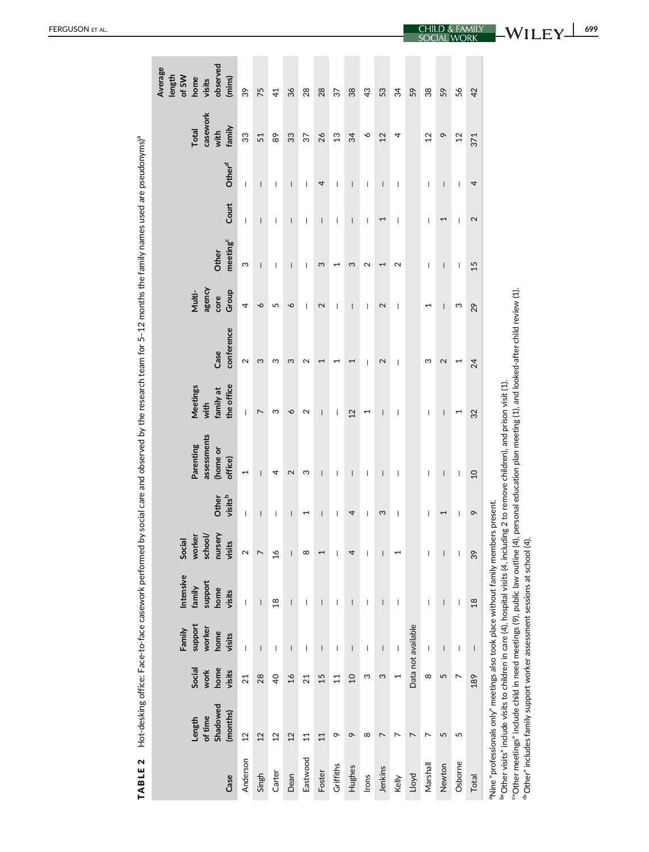| ١                                                    |
|------------------------------------------------------|
| ï<br>ì<br>Ó                                          |
| ļ                                                    |
|                                                      |
|                                                      |
|                                                      |
| ۱<br>l                                               |
|                                                      |
| j                                                    |
|                                                      |
| ׇ֚֘֡֡                                                |
| ׇ֚֓֡<br>֠                                            |
|                                                      |
| ś                                                    |
|                                                      |
|                                                      |
|                                                      |
|                                                      |
| ţ<br>֚֓֡                                             |
| Í                                                    |
| ֡֡֡֡֡֡֡֡                                             |
| I<br>ļ                                               |
| ï<br>Ï                                               |
|                                                      |
| ï<br>֚֕֡֡<br>۱<br>i                                  |
|                                                      |
| j                                                    |
| Ó<br>֠<br>i<br>י                                     |
| ׇ֬֕֕                                                 |
|                                                      |
|                                                      |
|                                                      |
| í<br>۱                                               |
| Ó                                                    |
| ֕<br>$\overline{a}$<br>Ì                             |
| l                                                    |
| ׇ֚֓                                                  |
| l                                                    |
| ׇ֚֚֬֓֕֓֕֬֓֡֬֓֬֓֬֓֬֓֬֓֬֓֬֓֬֓֬֓֬֓֬֓֬֓֬֓֬֓֬֓֬           |
|                                                      |
|                                                      |
|                                                      |
| j                                                    |
| ׇ֘֒                                                  |
| į                                                    |
| $\overline{a}$                                       |
|                                                      |
| l                                                    |
| ļ<br>ì                                               |
| <br>ì<br>ļ                                           |
| ֧֧֧֧֧֧֧֧֧֧֦֧֧֦֧֚֚֚֚֚֚֚֡֓֓֓֓֓֓֓֓֓֓֓֓֓֓֓֓֜֓            |
| ֠                                                    |
|                                                      |
|                                                      |
| ֕                                                    |
| ׇ֚֓֡<br>I                                            |
|                                                      |
|                                                      |
|                                                      |
| ļ                                                    |
| $\overline{a}$                                       |
| l                                                    |
| $\overline{a}$                                       |
|                                                      |
|                                                      |
| ť<br>l                                               |
| ׇׇ֚֕֡<br>l                                           |
| ֧֧֧֧֦֧֧֚֚֚֚֚֚֚֚֚֚֚֚֚֚֚֚֚֚֚֚֚֚֚֚֬֝֓֝֓֡֝֬֜֡֓<br>i<br>١ |
| ŀ                                                    |
|                                                      |

| Case      | Shadowed<br>(months)<br>of time<br>Length                                                                                                                                                                                                                                                                                                                                                                                                                    | Social<br>home<br>work<br>visits | support<br>worker<br>Family<br>home<br>visits                                                                                                                                                                                                                                                                                                                                                                  | Intensive<br>support<br>family<br>home<br>visits | nursery<br>visits<br>worker<br>school/<br>Social | Other<br>visits <sup>b</sup>          | assessments<br>Parenting<br>(home or<br>office) | Meetings<br>the office<br>family at<br>with | conference<br>Case | agency<br>Group<br>Multi-<br>core | meeting <sup>c</sup><br>Other | Court                    | Other <sup>d</sup>       | casework<br>family<br>Total<br>with | observed<br>Average<br>length<br>of SW<br>home<br>(mins)<br>visits |
|-----------|--------------------------------------------------------------------------------------------------------------------------------------------------------------------------------------------------------------------------------------------------------------------------------------------------------------------------------------------------------------------------------------------------------------------------------------------------------------|----------------------------------|----------------------------------------------------------------------------------------------------------------------------------------------------------------------------------------------------------------------------------------------------------------------------------------------------------------------------------------------------------------------------------------------------------------|--------------------------------------------------|--------------------------------------------------|---------------------------------------|-------------------------------------------------|---------------------------------------------|--------------------|-----------------------------------|-------------------------------|--------------------------|--------------------------|-------------------------------------|--------------------------------------------------------------------|
| Anderson  | 12                                                                                                                                                                                                                                                                                                                                                                                                                                                           | 21                               | $\begin{array}{c} \hline \end{array}$                                                                                                                                                                                                                                                                                                                                                                          | $\begin{array}{c} \hline \end{array}$            | $\mathbf{\Omega}$                                | $\overline{\phantom{a}}$              | 1                                               | $\overline{\phantom{a}}$                    | $\mathbf{\Omega}$  | 4                                 | S                             | $\overline{\phantom{a}}$ | $\overline{\phantom{a}}$ | 33                                  | 39                                                                 |
| Singh     | 12                                                                                                                                                                                                                                                                                                                                                                                                                                                           | 28                               | $\sf I$                                                                                                                                                                                                                                                                                                                                                                                                        | $\sf I$                                          |                                                  | $\overline{\phantom{a}}$              | $\overline{\phantom{a}}$                        | $\overline{ }$                              | ς                  | $\sim$                            | $\overline{\phantom{a}}$      | $\overline{\phantom{a}}$ | $\overline{\phantom{a}}$ | 51                                  | 75                                                                 |
| Carter    | 12                                                                                                                                                                                                                                                                                                                                                                                                                                                           | $\overline{Q}$                   | I                                                                                                                                                                                                                                                                                                                                                                                                              | $\frac{8}{18}$                                   | $\frac{8}{10}$                                   | I                                     | 4                                               | က                                           | ω                  | 5                                 | ı                             | I                        | I                        | 89                                  | $\overline{4}$                                                     |
| Dean      | 12                                                                                                                                                                                                                                                                                                                                                                                                                                                           | $\overline{16}$                  | $\overline{\phantom{a}}$                                                                                                                                                                                                                                                                                                                                                                                       | $\overline{\phantom{a}}$                         |                                                  | $\overline{\phantom{a}}$              | 2                                               | $\circ$                                     | S                  | $\sim$                            | $\overline{\phantom{a}}$      | $\overline{1}$           | $\overline{\phantom{a}}$ | 33                                  | 36                                                                 |
| Eastwood  | 11                                                                                                                                                                                                                                                                                                                                                                                                                                                           | $\overline{21}$                  | $\overline{\phantom{a}}$                                                                                                                                                                                                                                                                                                                                                                                       | $\overline{\phantom{a}}$                         | ∞                                                | 1                                     | S                                               | 2                                           | $\mathbf{\Omega}$  | I                                 | ı                             | 1                        | I                        | 57                                  | 28                                                                 |
| Foster    | 11                                                                                                                                                                                                                                                                                                                                                                                                                                                           | 15                               | $\overline{\phantom{a}}$                                                                                                                                                                                                                                                                                                                                                                                       | $\overline{\phantom{a}}$                         |                                                  | $\overline{\phantom{a}}$              | I                                               | $\overline{\phantom{a}}$                    | I                  | 2                                 | S                             | I                        | 4                        | 26                                  | 28                                                                 |
| Griffiths | ᡐ                                                                                                                                                                                                                                                                                                                                                                                                                                                            | 11                               | $\overline{\phantom{a}}$                                                                                                                                                                                                                                                                                                                                                                                       | $\overline{\phantom{a}}$                         |                                                  | ı                                     | $\overline{\phantom{a}}$                        | $\overline{\phantom{a}}$                    |                    | $\overline{\phantom{a}}$          |                               | $\overline{\phantom{a}}$ | $\overline{\phantom{a}}$ | $\mathfrak{L}$                      | 57                                                                 |
| Hughes    | $\sim$                                                                                                                                                                                                                                                                                                                                                                                                                                                       | $\Omega$                         | $\overline{\phantom{a}}$                                                                                                                                                                                                                                                                                                                                                                                       | $\overline{\phantom{a}}$                         | 4                                                | 4                                     | $\overline{\phantom{a}}$                        | 12                                          | 1                  | $\overline{\phantom{a}}$          | ω                             | $\overline{\phantom{a}}$ | $\overline{\phantom{a}}$ | 34                                  | 38                                                                 |
| Irons     | $^{\circ}$                                                                                                                                                                                                                                                                                                                                                                                                                                                   | ω                                | $\overline{\phantom{a}}$                                                                                                                                                                                                                                                                                                                                                                                       | $\overline{\phantom{a}}$                         |                                                  | $\overline{\phantom{a}}$              | 1                                               | 1                                           | -1                 | 1                                 | 2                             | I                        | 1                        | ∘                                   | $\frac{3}{4}$                                                      |
| Jenkins   | $\overline{ }$                                                                                                                                                                                                                                                                                                                                                                                                                                               | S                                | $\overline{\phantom{a}}$                                                                                                                                                                                                                                                                                                                                                                                       | $\overline{\phantom{a}}$                         |                                                  | S                                     | $\overline{\phantom{a}}$                        | $\overline{\phantom{a}}$                    | 2                  | 2                                 | $\overline{\phantom{0}}$      | ſ                        | $\overline{\phantom{a}}$ | 12                                  | 53                                                                 |
| Kelly     | $\breve{~}$                                                                                                                                                                                                                                                                                                                                                                                                                                                  | $\overline{\phantom{0}}$         | $\overline{\phantom{a}}$                                                                                                                                                                                                                                                                                                                                                                                       | $\overline{\phantom{a}}$                         |                                                  | $\overline{\phantom{a}}$              | $\overline{\phantom{a}}$                        | I                                           | T                  | T                                 | Z                             | I                        | I                        | 4                                   | 54                                                                 |
| Lloyd     | $\overline{ }$                                                                                                                                                                                                                                                                                                                                                                                                                                               |                                  | Data not available                                                                                                                                                                                                                                                                                                                                                                                             |                                                  |                                                  |                                       |                                                 |                                             |                    |                                   |                               |                          |                          |                                     | 59                                                                 |
| Marshall  | $\overline{ }$                                                                                                                                                                                                                                                                                                                                                                                                                                               | ${}^{\circ}$                     | $\overline{\phantom{a}}$                                                                                                                                                                                                                                                                                                                                                                                       | $\overline{\phantom{a}}$                         |                                                  | $\overline{\phantom{a}}$              | $\overline{\phantom{a}}$                        | $\overline{\phantom{a}}$                    | ω                  | $\overline{\phantom{0}}$          | $\mathsf{I}$                  | $\mathsf{I}$             | I                        | $\overline{2}$                      | 38                                                                 |
| Newton    | 5                                                                                                                                                                                                                                                                                                                                                                                                                                                            | 5                                | I                                                                                                                                                                                                                                                                                                                                                                                                              | I                                                |                                                  | 1                                     | I                                               | I                                           | 2                  | I                                 | T                             | 1                        | ı                        | $\sigma$                            | 59                                                                 |
| Osborne   | 5                                                                                                                                                                                                                                                                                                                                                                                                                                                            | $\overline{ }$                   | $\overline{\phantom{a}}$                                                                                                                                                                                                                                                                                                                                                                                       | $\overline{\phantom{a}}$                         | I                                                | $\begin{array}{c} \hline \end{array}$ | $\overline{\phantom{a}}$                        | 1                                           | 1                  | ω                                 | $\overline{\phantom{a}}$      | I                        | I                        | $^{12}$                             | 56                                                                 |
| Total     |                                                                                                                                                                                                                                                                                                                                                                                                                                                              | 189                              | $\begin{array}{c} \rule{0pt}{2ex} \rule{0pt}{2ex} \rule{0pt}{2ex} \rule{0pt}{2ex} \rule{0pt}{2ex} \rule{0pt}{2ex} \rule{0pt}{2ex} \rule{0pt}{2ex} \rule{0pt}{2ex} \rule{0pt}{2ex} \rule{0pt}{2ex} \rule{0pt}{2ex} \rule{0pt}{2ex} \rule{0pt}{2ex} \rule{0pt}{2ex} \rule{0pt}{2ex} \rule{0pt}{2ex} \rule{0pt}{2ex} \rule{0pt}{2ex} \rule{0pt}{2ex} \rule{0pt}{2ex} \rule{0pt}{2ex} \rule{0pt}{2ex} \rule{0pt}{$ | 18                                               | 39                                               | $\sim$                                | 10                                              | 32                                          | 24                 | 29                                | 15                            | 2                        | 4                        | 371                                 | 42                                                                 |
|           | "Other meetings" include child in need meetings (9), public law outline (4), personal education plan meeting (1), and looked-after child review (1).<br>"Other" includes family support worker assessment sessions at school (4).<br>"Other visits" include visits to children in care (4), hospital visits (4, including 2 to remove children), and prison visit (1)<br>aNine "professionals only" meetings also took place without family members present. |                                  |                                                                                                                                                                                                                                                                                                                                                                                                                |                                                  |                                                  |                                       |                                                 |                                             |                    |                                   |                               |                          |                          |                                     |                                                                    |

FERGUSON ET AL.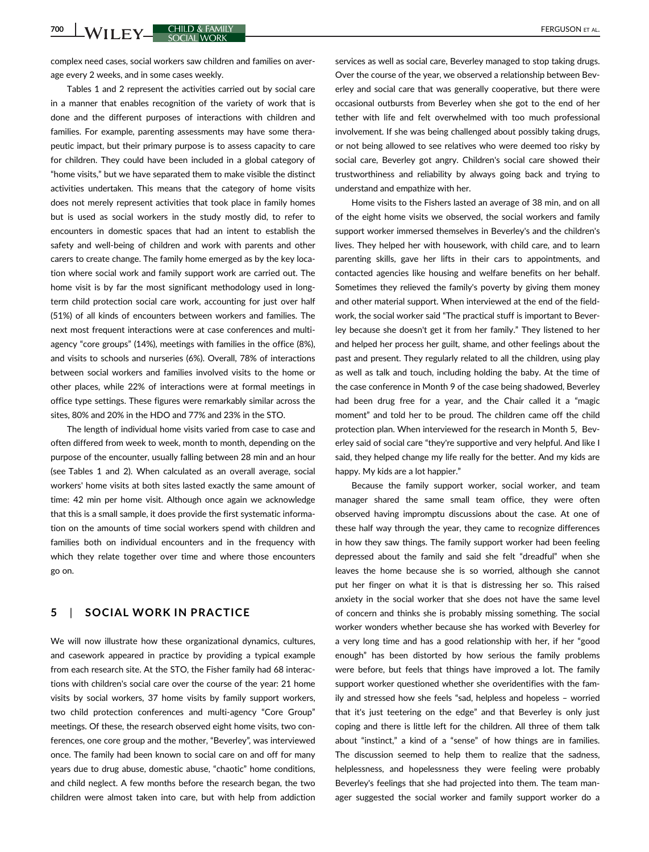**700 WILEY CHILD & FAMILY CHILD & FAMILY CONTRACT CONTRACT CONTRACT CONTRACT CONTRACT CONTRACT CONTRACT CONTRACT CONTRACT CONTRACT CONTRACT CONTRACT CONTRACT CONTRACT CONTRACT CONTRACT CONTRACT CONTRACT CONTRACT CONTRACT C** 

complex need cases, social workers saw children and families on average every 2 weeks, and in some cases weekly.

Tables 1 and 2 represent the activities carried out by social care in a manner that enables recognition of the variety of work that is done and the different purposes of interactions with children and families. For example, parenting assessments may have some therapeutic impact, but their primary purpose is to assess capacity to care for children. They could have been included in a global category of "home visits," but we have separated them to make visible the distinct activities undertaken. This means that the category of home visits does not merely represent activities that took place in family homes but is used as social workers in the study mostly did, to refer to encounters in domestic spaces that had an intent to establish the safety and well-being of children and work with parents and other carers to create change. The family home emerged as by the key location where social work and family support work are carried out. The home visit is by far the most significant methodology used in longterm child protection social care work, accounting for just over half (51%) of all kinds of encounters between workers and families. The next most frequent interactions were at case conferences and multiagency "core groups" (14%), meetings with families in the office (8%), and visits to schools and nurseries (6%). Overall, 78% of interactions between social workers and families involved visits to the home or other places, while 22% of interactions were at formal meetings in office type settings. These figures were remarkably similar across the sites, 80% and 20% in the HDO and 77% and 23% in the STO.

The length of individual home visits varied from case to case and often differed from week to week, month to month, depending on the purpose of the encounter, usually falling between 28 min and an hour (see Tables 1 and 2). When calculated as an overall average, social workers' home visits at both sites lasted exactly the same amount of time: 42 min per home visit. Although once again we acknowledge that this is a small sample, it does provide the first systematic information on the amounts of time social workers spend with children and families both on individual encounters and in the frequency with which they relate together over time and where those encounters go on.

# 5 | SOCIAL WORK IN PRACTICE

We will now illustrate how these organizational dynamics, cultures, and casework appeared in practice by providing a typical example from each research site. At the STO, the Fisher family had 68 interactions with children's social care over the course of the year: 21 home visits by social workers, 37 home visits by family support workers, two child protection conferences and multi-agency "Core Group" meetings. Of these, the research observed eight home visits, two conferences, one core group and the mother, "Beverley", was interviewed once. The family had been known to social care on and off for many years due to drug abuse, domestic abuse, "chaotic" home conditions, and child neglect. A few months before the research began, the two children were almost taken into care, but with help from addiction services as well as social care, Beverley managed to stop taking drugs. Over the course of the year, we observed a relationship between Beverley and social care that was generally cooperative, but there were occasional outbursts from Beverley when she got to the end of her tether with life and felt overwhelmed with too much professional involvement. If she was being challenged about possibly taking drugs, or not being allowed to see relatives who were deemed too risky by social care, Beverley got angry. Children's social care showed their trustworthiness and reliability by always going back and trying to understand and empathize with her.

Home visits to the Fishers lasted an average of 38 min, and on all of the eight home visits we observed, the social workers and family support worker immersed themselves in Beverley's and the children's lives. They helped her with housework, with child care, and to learn parenting skills, gave her lifts in their cars to appointments, and contacted agencies like housing and welfare benefits on her behalf. Sometimes they relieved the family's poverty by giving them money and other material support. When interviewed at the end of the fieldwork, the social worker said "The practical stuff is important to Beverley because she doesn't get it from her family." They listened to her and helped her process her guilt, shame, and other feelings about the past and present. They regularly related to all the children, using play as well as talk and touch, including holding the baby. At the time of the case conference in Month 9 of the case being shadowed, Beverley had been drug free for a year, and the Chair called it a "magic moment" and told her to be proud. The children came off the child protection plan. When interviewed for the research in Month 5, Beverley said of social care "they're supportive and very helpful. And like I said, they helped change my life really for the better. And my kids are happy. My kids are a lot happier."

Because the family support worker, social worker, and team manager shared the same small team office, they were often observed having impromptu discussions about the case. At one of these half way through the year, they came to recognize differences in how they saw things. The family support worker had been feeling depressed about the family and said she felt "dreadful" when she leaves the home because she is so worried, although she cannot put her finger on what it is that is distressing her so. This raised anxiety in the social worker that she does not have the same level of concern and thinks she is probably missing something. The social worker wonders whether because she has worked with Beverley for a very long time and has a good relationship with her, if her "good enough" has been distorted by how serious the family problems were before, but feels that things have improved a lot. The family support worker questioned whether she overidentifies with the family and stressed how she feels "sad, helpless and hopeless – worried that it's just teetering on the edge" and that Beverley is only just coping and there is little left for the children. All three of them talk about "instinct," a kind of a "sense" of how things are in families. The discussion seemed to help them to realize that the sadness, helplessness, and hopelessness they were feeling were probably Beverley's feelings that she had projected into them. The team manager suggested the social worker and family support worker do a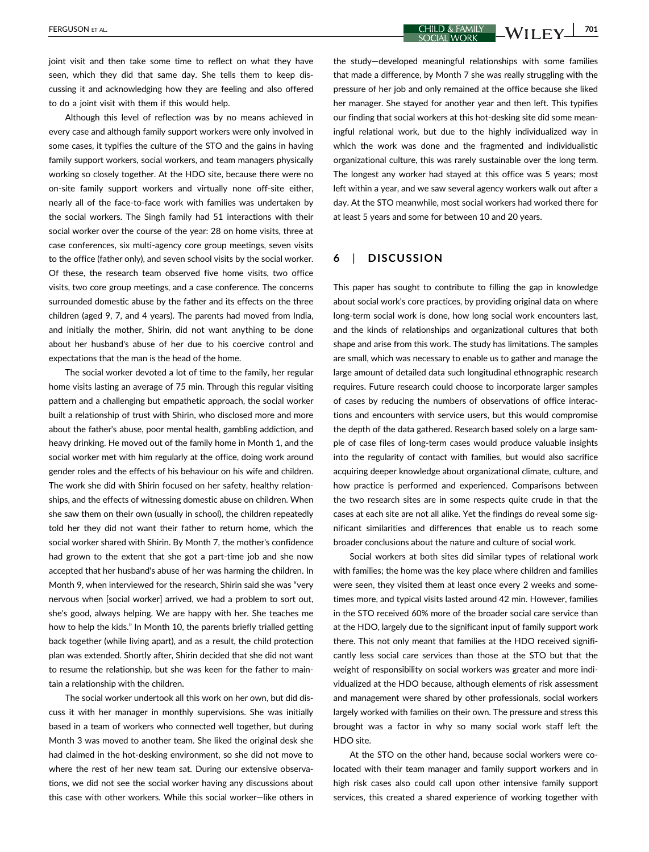joint visit and then take some time to reflect on what they have seen, which they did that same day. She tells them to keep discussing it and acknowledging how they are feeling and also offered

to do a joint visit with them if this would help. Although this level of reflection was by no means achieved in every case and although family support workers were only involved in some cases, it typifies the culture of the STO and the gains in having family support workers, social workers, and team managers physically working so closely together. At the HDO site, because there were no on-site family support workers and virtually none off-site either, nearly all of the face-to-face work with families was undertaken by the social workers. The Singh family had 51 interactions with their social worker over the course of the year: 28 on home visits, three at case conferences, six multi-agency core group meetings, seven visits to the office (father only), and seven school visits by the social worker. Of these, the research team observed five home visits, two office visits, two core group meetings, and a case conference. The concerns surrounded domestic abuse by the father and its effects on the three children (aged 9, 7, and 4 years). The parents had moved from India, and initially the mother, Shirin, did not want anything to be done about her husband's abuse of her due to his coercive control and expectations that the man is the head of the home.

The social worker devoted a lot of time to the family, her regular home visits lasting an average of 75 min. Through this regular visiting pattern and a challenging but empathetic approach, the social worker built a relationship of trust with Shirin, who disclosed more and more about the father's abuse, poor mental health, gambling addiction, and heavy drinking. He moved out of the family home in Month 1, and the social worker met with him regularly at the office, doing work around gender roles and the effects of his behaviour on his wife and children. The work she did with Shirin focused on her safety, healthy relationships, and the effects of witnessing domestic abuse on children. When she saw them on their own (usually in school), the children repeatedly told her they did not want their father to return home, which the social worker shared with Shirin. By Month 7, the mother's confidence had grown to the extent that she got a part-time job and she now accepted that her husband's abuse of her was harming the children. In Month 9, when interviewed for the research, Shirin said she was "very nervous when [social worker] arrived, we had a problem to sort out, she's good, always helping. We are happy with her. She teaches me how to help the kids." In Month 10, the parents briefly trialled getting back together (while living apart), and as a result, the child protection plan was extended. Shortly after, Shirin decided that she did not want to resume the relationship, but she was keen for the father to maintain a relationship with the children.

The social worker undertook all this work on her own, but did discuss it with her manager in monthly supervisions. She was initially based in a team of workers who connected well together, but during Month 3 was moved to another team. She liked the original desk she had claimed in the hot-desking environment, so she did not move to where the rest of her new team sat. During our extensive observations, we did not see the social worker having any discussions about this case with other workers. While this social worker—like others in the study—developed meaningful relationships with some families that made a difference, by Month 7 she was really struggling with the pressure of her job and only remained at the office because she liked her manager. She stayed for another year and then left. This typifies our finding that social workers at this hot-desking site did some meaningful relational work, but due to the highly individualized way in which the work was done and the fragmented and individualistic organizational culture, this was rarely sustainable over the long term. The longest any worker had stayed at this office was 5 years; most left within a year, and we saw several agency workers walk out after a day. At the STO meanwhile, most social workers had worked there for at least 5 years and some for between 10 and 20 years.

# 6 | DISCUSSION

This paper has sought to contribute to filling the gap in knowledge about social work's core practices, by providing original data on where long-term social work is done, how long social work encounters last, and the kinds of relationships and organizational cultures that both shape and arise from this work. The study has limitations. The samples are small, which was necessary to enable us to gather and manage the large amount of detailed data such longitudinal ethnographic research requires. Future research could choose to incorporate larger samples of cases by reducing the numbers of observations of office interactions and encounters with service users, but this would compromise the depth of the data gathered. Research based solely on a large sample of case files of long-term cases would produce valuable insights into the regularity of contact with families, but would also sacrifice acquiring deeper knowledge about organizational climate, culture, and how practice is performed and experienced. Comparisons between the two research sites are in some respects quite crude in that the cases at each site are not all alike. Yet the findings do reveal some significant similarities and differences that enable us to reach some broader conclusions about the nature and culture of social work.

Social workers at both sites did similar types of relational work with families; the home was the key place where children and families were seen, they visited them at least once every 2 weeks and sometimes more, and typical visits lasted around 42 min. However, families in the STO received 60% more of the broader social care service than at the HDO, largely due to the significant input of family support work there. This not only meant that families at the HDO received significantly less social care services than those at the STO but that the weight of responsibility on social workers was greater and more individualized at the HDO because, although elements of risk assessment and management were shared by other professionals, social workers largely worked with families on their own. The pressure and stress this brought was a factor in why so many social work staff left the HDO site.

At the STO on the other hand, because social workers were colocated with their team manager and family support workers and in high risk cases also could call upon other intensive family support services, this created a shared experience of working together with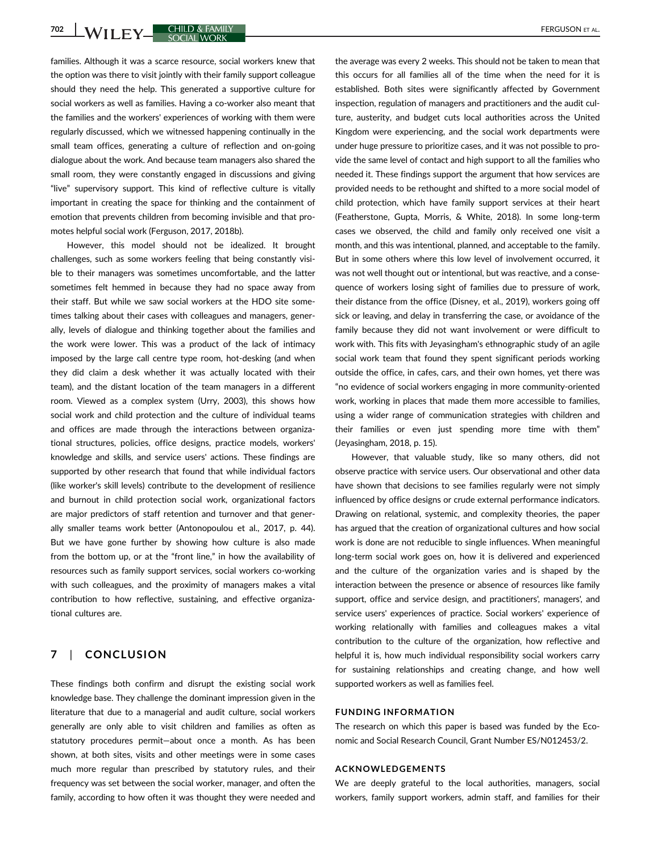**702 WILEY CHILD & FAMILY CHILD & FAMILY COOL** 

families. Although it was a scarce resource, social workers knew that the option was there to visit jointly with their family support colleague should they need the help. This generated a supportive culture for social workers as well as families. Having a co-worker also meant that the families and the workers' experiences of working with them were regularly discussed, which we witnessed happening continually in the small team offices, generating a culture of reflection and on-going dialogue about the work. And because team managers also shared the small room, they were constantly engaged in discussions and giving "live" supervisory support. This kind of reflective culture is vitally important in creating the space for thinking and the containment of emotion that prevents children from becoming invisible and that promotes helpful social work (Ferguson, 2017, 2018b).

However, this model should not be idealized. It brought challenges, such as some workers feeling that being constantly visible to their managers was sometimes uncomfortable, and the latter sometimes felt hemmed in because they had no space away from their staff. But while we saw social workers at the HDO site sometimes talking about their cases with colleagues and managers, generally, levels of dialogue and thinking together about the families and the work were lower. This was a product of the lack of intimacy imposed by the large call centre type room, hot-desking (and when they did claim a desk whether it was actually located with their team), and the distant location of the team managers in a different room. Viewed as a complex system (Urry, 2003), this shows how social work and child protection and the culture of individual teams and offices are made through the interactions between organizational structures, policies, office designs, practice models, workers' knowledge and skills, and service users' actions. These findings are supported by other research that found that while individual factors (like worker's skill levels) contribute to the development of resilience and burnout in child protection social work, organizational factors are major predictors of staff retention and turnover and that generally smaller teams work better (Antonopoulou et al., 2017, p. 44). But we have gone further by showing how culture is also made from the bottom up, or at the "front line," in how the availability of resources such as family support services, social workers co-working with such colleagues, and the proximity of managers makes a vital contribution to how reflective, sustaining, and effective organizational cultures are.

# 7 | CONCLUSION

These findings both confirm and disrupt the existing social work knowledge base. They challenge the dominant impression given in the literature that due to a managerial and audit culture, social workers generally are only able to visit children and families as often as statutory procedures permit—about once a month. As has been shown, at both sites, visits and other meetings were in some cases much more regular than prescribed by statutory rules, and their frequency was set between the social worker, manager, and often the family, according to how often it was thought they were needed and the average was every 2 weeks. This should not be taken to mean that this occurs for all families all of the time when the need for it is established. Both sites were significantly affected by Government inspection, regulation of managers and practitioners and the audit culture, austerity, and budget cuts local authorities across the United Kingdom were experiencing, and the social work departments were under huge pressure to prioritize cases, and it was not possible to provide the same level of contact and high support to all the families who needed it. These findings support the argument that how services are provided needs to be rethought and shifted to a more social model of child protection, which have family support services at their heart (Featherstone, Gupta, Morris, & White, 2018). In some long-term cases we observed, the child and family only received one visit a month, and this was intentional, planned, and acceptable to the family. But in some others where this low level of involvement occurred, it was not well thought out or intentional, but was reactive, and a consequence of workers losing sight of families due to pressure of work, their distance from the office (Disney, et al., 2019), workers going off sick or leaving, and delay in transferring the case, or avoidance of the family because they did not want involvement or were difficult to work with. This fits with Jeyasingham's ethnographic study of an agile social work team that found they spent significant periods working outside the office, in cafes, cars, and their own homes, yet there was "no evidence of social workers engaging in more community-oriented work, working in places that made them more accessible to families, using a wider range of communication strategies with children and their families or even just spending more time with them" (Jeyasingham, 2018, p. 15).

However, that valuable study, like so many others, did not observe practice with service users. Our observational and other data have shown that decisions to see families regularly were not simply influenced by office designs or crude external performance indicators. Drawing on relational, systemic, and complexity theories, the paper has argued that the creation of organizational cultures and how social work is done are not reducible to single influences. When meaningful long-term social work goes on, how it is delivered and experienced and the culture of the organization varies and is shaped by the interaction between the presence or absence of resources like family support, office and service design, and practitioners', managers', and service users' experiences of practice. Social workers' experience of working relationally with families and colleagues makes a vital contribution to the culture of the organization, how reflective and helpful it is, how much individual responsibility social workers carry for sustaining relationships and creating change, and how well supported workers as well as families feel.

#### FUNDING INFORMATION

The research on which this paper is based was funded by the Economic and Social Research Council, Grant Number ES/N012453/2.

#### ACKNOWLEDGEMENTS

We are deeply grateful to the local authorities, managers, social workers, family support workers, admin staff, and families for their